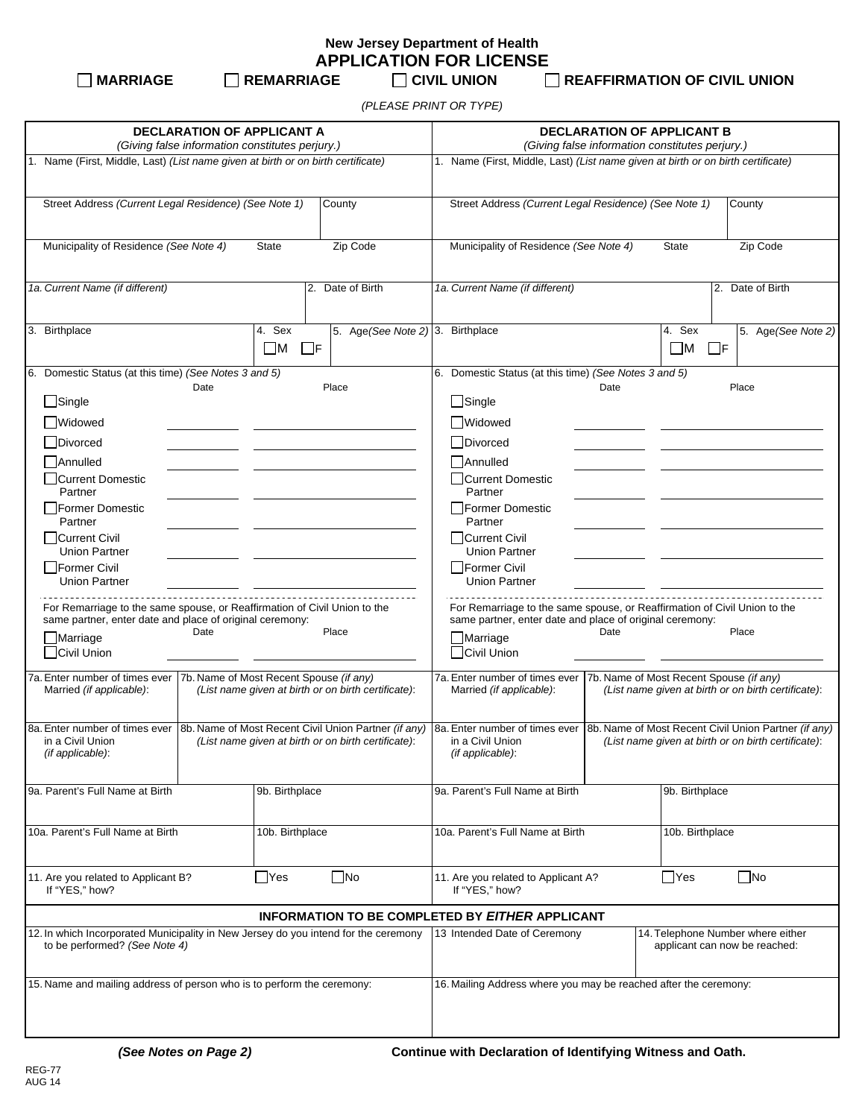**New Jersey Department of Health APPLICATION FOR LICENSE**

 **MARRIAGE REMARRIAGE CIVIL UNION REAFFIRMATION OF CIVIL UNION**

*(PLEASE PRINT OR TYPE)*

| <b>DECLARATION OF APPLICANT A</b><br>(Giving false information constitutes perjury.)                                                                                                                                                                                                                                                                                                                                                                                                        |                                                                                                                                                                    | <b>DECLARATION OF APPLICANT B</b><br>(Giving false information constitutes perjury.)                                                                                                                                                                                                                                                                                                                                                                                                    |                                                                                                                                                                    |  |  |
|---------------------------------------------------------------------------------------------------------------------------------------------------------------------------------------------------------------------------------------------------------------------------------------------------------------------------------------------------------------------------------------------------------------------------------------------------------------------------------------------|--------------------------------------------------------------------------------------------------------------------------------------------------------------------|-----------------------------------------------------------------------------------------------------------------------------------------------------------------------------------------------------------------------------------------------------------------------------------------------------------------------------------------------------------------------------------------------------------------------------------------------------------------------------------------|--------------------------------------------------------------------------------------------------------------------------------------------------------------------|--|--|
| 1. Name (First, Middle, Last) (List name given at birth or on birth certificate)                                                                                                                                                                                                                                                                                                                                                                                                            |                                                                                                                                                                    | 1. Name (First, Middle, Last) (List name given at birth or on birth certificate)                                                                                                                                                                                                                                                                                                                                                                                                        |                                                                                                                                                                    |  |  |
| Street Address (Current Legal Residence) (See Note 1)                                                                                                                                                                                                                                                                                                                                                                                                                                       | County                                                                                                                                                             | Street Address (Current Legal Residence) (See Note 1)                                                                                                                                                                                                                                                                                                                                                                                                                                   | County                                                                                                                                                             |  |  |
| Municipality of Residence (See Note 4)<br><b>State</b><br>Zip Code                                                                                                                                                                                                                                                                                                                                                                                                                          |                                                                                                                                                                    | Municipality of Residence (See Note 4)                                                                                                                                                                                                                                                                                                                                                                                                                                                  | State<br>Zip Code                                                                                                                                                  |  |  |
| 1a. Current Name (if different)                                                                                                                                                                                                                                                                                                                                                                                                                                                             | 2. Date of Birth                                                                                                                                                   | 1a. Current Name (if different)                                                                                                                                                                                                                                                                                                                                                                                                                                                         | 2. Date of Birth                                                                                                                                                   |  |  |
| 3. Birthplace                                                                                                                                                                                                                                                                                                                                                                                                                                                                               | 5. Age (See Note 2) 3. Birthplace<br>4. Sex<br>$\square$ M<br>$\Box$ F                                                                                             |                                                                                                                                                                                                                                                                                                                                                                                                                                                                                         | 4. Sex<br>5. Age (See Note 2)<br>$\square$ M<br>$\Box$ F                                                                                                           |  |  |
| 6. Domestic Status (at this time) (See Notes 3 and 5)<br>Date<br>$\Box$ Single<br><b>Widowed</b><br>Divorced<br>Annulled<br>Current Domestic<br>Partner<br>Former Domestic<br>Partner<br>Current Civil<br><b>Union Partner</b><br>Former Civil<br><b>Union Partner</b><br>For Remarriage to the same spouse, or Reaffirmation of Civil Union to the<br>same partner, enter date and place of original ceremony:<br>Date<br>$\Box$ Marriage<br>Civil Union<br>7a. Enter number of times ever | Place<br>Place<br>7b. Name of Most Recent Spouse (if any)                                                                                                          | 6. Domestic Status (at this time) (See Notes 3 and 5)<br>Date<br>$\Box$ Single<br>Widowed<br>□Divorced<br>Annulled<br>Current Domestic<br>Partner<br>Former Domestic<br>Partner<br>  Current Civil<br><b>Union Partner</b><br>Former Civil<br><b>Union Partner</b><br>For Remarriage to the same spouse, or Reaffirmation of Civil Union to the<br>same partner, enter date and place of original ceremony:<br>Date<br>Marriage<br><b>Civil Union</b><br>7a. Enter number of times ever | Place<br>Place<br>7b. Name of Most Recent Spouse (if any)                                                                                                          |  |  |
| Married (if applicable):<br>8a. Enter number of times ever<br>in a Civil Union<br>(if applicable):                                                                                                                                                                                                                                                                                                                                                                                          | (List name given at birth or on birth certificate):<br>8b. Name of Most Recent Civil Union Partner (if any)<br>(List name given at birth or on birth certificate): | Married (if applicable):<br>8a. Enter number of times ever<br>in a Civil Union<br>(if applicable):                                                                                                                                                                                                                                                                                                                                                                                      | (List name given at birth or on birth certificate):<br>8b. Name of Most Recent Civil Union Partner (if any)<br>(List name given at birth or on birth certificate): |  |  |
| 9a. Parent's Full Name at Birth                                                                                                                                                                                                                                                                                                                                                                                                                                                             | 9b. Birthplace                                                                                                                                                     | 9a. Parent's Full Name at Birth                                                                                                                                                                                                                                                                                                                                                                                                                                                         | 9b. Birthplace                                                                                                                                                     |  |  |
| 10a. Parent's Full Name at Birth                                                                                                                                                                                                                                                                                                                                                                                                                                                            | 10b. Birthplace                                                                                                                                                    | 10a. Parent's Full Name at Birth                                                                                                                                                                                                                                                                                                                                                                                                                                                        | 10b. Birthplace                                                                                                                                                    |  |  |
| 11. Are you related to Applicant B?<br>If "YES," how?                                                                                                                                                                                                                                                                                                                                                                                                                                       | $\square$ No<br>$\Box$ Yes                                                                                                                                         | 11. Are you related to Applicant A?<br>If "YES," how?                                                                                                                                                                                                                                                                                                                                                                                                                                   | $\Box$ Yes<br>$\Box$ No                                                                                                                                            |  |  |
|                                                                                                                                                                                                                                                                                                                                                                                                                                                                                             |                                                                                                                                                                    | <b>INFORMATION TO BE COMPLETED BY EITHER APPLICANT</b>                                                                                                                                                                                                                                                                                                                                                                                                                                  |                                                                                                                                                                    |  |  |
| 12. In which Incorporated Municipality in New Jersey do you intend for the ceremony<br>to be performed? (See Note 4)                                                                                                                                                                                                                                                                                                                                                                        |                                                                                                                                                                    | 13 Intended Date of Ceremony                                                                                                                                                                                                                                                                                                                                                                                                                                                            | 14. Telephone Number where either<br>applicant can now be reached:                                                                                                 |  |  |
| 15. Name and mailing address of person who is to perform the ceremony:                                                                                                                                                                                                                                                                                                                                                                                                                      |                                                                                                                                                                    | 16. Mailing Address where you may be reached after the ceremony:                                                                                                                                                                                                                                                                                                                                                                                                                        |                                                                                                                                                                    |  |  |